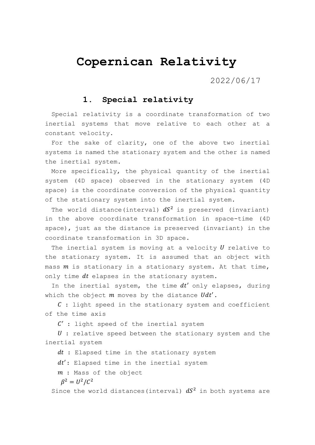# **Copernican Relativity**

2022/06/17

### **1. Special relativity**

Special relativity is a coordinate transformation of two inertial systems that move relative to each other at a constant velocity.

For the sake of clarity, one of the above two inertial systems is named the stationary system and the other is named the inertial system.

More specifically, the physical quantity of the inertial system (4D space) observed in the stationary system (4D space) is the coordinate conversion of the physical quantity of the stationary system into the inertial system.

The world distance(interval)  $dS^2$  is preserved (invariant) in the above coordinate transformation in space-time (4D space), just as the distance is preserved (invariant) in the coordinate transformation in 3D space.

The inertial system is moving at a velocity  $U$  relative to the stationary system. It is assumed that an object with mass  $m$  is stationary in a stationary system. At that time, only time  $dt$  elapses in the stationary system.

In the inertial system, the time  $dt'$  only elapses, during which the object  $m$  moves by the distance  $Udt'$ .

 $C:$  light speed in the stationary system and coefficient of the time axis

 $C'$  : light speed of the inertial system

 $U$ : relative speed between the stationary system and the inertial system

 $dt$  : Elapsed time in the stationary system

 $dt'$ : Elapsed time in the inertial system

: Mass of the object

 $\beta^2 = U^2/C^2$ 

Since the world distances (interval)  $dS<sup>2</sup>$  in both systems are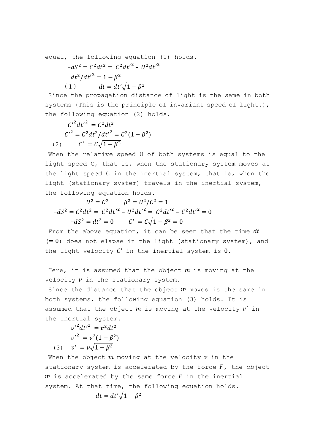equal, the following equation (1) holds.

$$
-dS2 = C2dt2 = C2dt'2 - U2dt'2
$$

$$
dt2/dt'2 = 1 - \beta2
$$

$$
(1) \t dt = dt'2\sqrt{1 - \beta2}
$$

Since the propagation distance of light is the same in both systems (This is the principle of invariant speed of light.), the following equation (2) holds.

$$
C'^{2}dt'^{2} = C^{2}dt^{2}
$$

$$
C'^{2} = C^{2}dt^{2}/dt'^{2} = C^{2}(1 - \beta^{2})
$$

$$
(2) \qquad C' = C\sqrt{1 - \beta^{2}}
$$

When the relative speed U of both systems is equal to the light speed C, that is, when the stationary system moves at the light speed C in the inertial system, that is, when the light (stationary system) travels in the inertial system, the following equation holds.

$$
U^{2} = C^{2} \qquad \beta^{2} = U^{2}/C^{2} = 1
$$
  

$$
-dS^{2} = C^{2}dt^{2} = C^{2}dt'^{2} - U^{2}dt'^{2} = C^{2}dt'^{2} - C^{2}dt'^{2} = 0
$$
  

$$
-dS^{2} = dt^{2} = 0 \qquad C' = C\sqrt{1 - \beta^{2}} = 0
$$

From the above equation, it can be seen that the time  $dt$  $(= 0)$  does not elapse in the light (stationary system), and the light velocity  $C'$  in the inertial system is  $0$ .

Here, it is assumed that the object  $m$  is moving at the velocity  $v$  in the stationary system.

Since the distance that the object  $m$  moves is the same in both systems, the following equation (3) holds. It is assumed that the object  $m$  is moving at the velocity  $v'$  in the inertial system.

 $v'^2 dt'^2 = v^2 dt^2$  $v'^2 = v^2(1 - \beta^2)$ (3)  $v' = v\sqrt{1 - \beta^2}$ 

When the object  $m$  moving at the velocity  $v$  in the stationary system is accelerated by the force  $F$ , the object  $m$  is accelerated by the same force  $F$  in the inertial system. At that time, the following equation holds.  $dt = dt' \sqrt{1 - \beta^2}$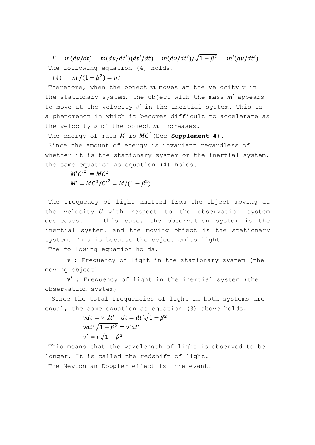$F = m(dv/dt) = m(dv/dt')(dt'/dt) = m(dv/dt')/\sqrt{1 - \beta^2} = m'(dv/dt')$ The following equation (4) holds.

(4)  $m/(1 - \beta^2) = m'$ 

Therefore, when the object  $m$  moves at the velocity  $v$  in the stationary system, the object with the mass  $m'$  appears to move at the velocity  $v'$  in the inertial system. This is a phenomenon in which it becomes difficult to accelerate as the velocity  $v$  of the object  $m$  increases.

The energy of mass  $M$  is  $MC^2$  (See **Supplement 4**).

Since the amount of energy is invariant regardless of whether it is the stationary system or the inertial system, the same equation as equation (4) holds.

 $M'C'^{2} = MC^{2}$  $M' = MC^2/C^2 = M/(1 - \beta^2)$ 

The frequency of light emitted from the object moving at the velocity  $U$  with respect to the observation system decreases. In this case, the observation system is the inertial system, and the moving object is the stationary system. This is because the object emits light.

The following equation holds.

 $\nu$ : Frequency of light in the stationary system (the moving object)

 $\nu'$  : Frequency of light in the inertial system (the observation system)

 Since the total frequencies of light in both systems are equal, the same equation as equation (3) above holds.

 $vdt = v'dt'$   $dt = dt'\sqrt{1-\beta^2}$  $vdt'\sqrt{1-\beta^2} = v'dt'$  $\nu' = \nu \sqrt{1 - \beta^2}$ 

This means that the wavelength of light is observed to be longer. It is called the redshift of light.

The Newtonian Doppler effect is irrelevant.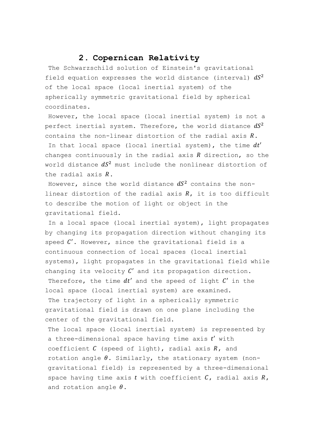### **2. Copernican Relativity**

The Schwarzschild solution of Einstein's gravitational field equation expresses the world distance (interval)  $dS^2$ of the local space (local inertial system) of the spherically symmetric gravitational field by spherical coordinates.

However, the local space (local inertial system) is not a perfect inertial system. Therefore, the world distance  $dS^2$ contains the non-linear distortion of the radial axis  $R$ .

In that local space (local inertial system), the time  $dt'$ changes continuously in the radial axis  $R$  direction, so the world distance  $dS^2$  must include the nonlinear distortion of the radial axis  $R$ .

However, since the world distance  $dS^2$  contains the nonlinear distortion of the radial axis  $R$ , it is too difficult to describe the motion of light or object in the gravitational field.

In a local space (local inertial system), light propagates by changing its propagation direction without changing its speed  $C'$ . However, since the gravitational field is a continuous connection of local spaces (local inertial systems), light propagates in the gravitational field while changing its velocity  $C'$  and its propagation direction. Therefore, the time  $dt'$  and the speed of light  $C'$  in the local space (local inertial system) are examined. The trajectory of light in a spherically symmetric gravitational field is drawn on one plane including the center of the gravitational field.

The local space (local inertial system) is represented by a three-dimensional space having time axis  $t'$  with coefficient  $C$  (speed of light), radial axis  $R$ , and rotation angle  $\theta$ . Similarly, the stationary system (nongravitational field) is represented by a three-dimensional space having time axis  $t$  with coefficient  $C$ , radial axis  $R$ , and rotation angle  $\theta$ .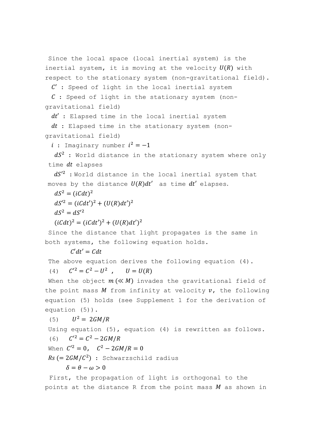```
Since the local space (local inertial system) is the
inertial system, it is moving at the velocity U(R) with
respect to the stationary system (non-gravitational field).
```
 $C'$ : Speed of light in the local inertial system

```
C: Speed of light in the stationary system (non-
gravitational field)
```
 $dt'$ : Elapsed time in the local inertial system

 $dt$ : Elapsed time in the stationary system (nongravitational field)

 $i$  : Imaginary number  $i^2 = -1$ 

 $dS<sup>2</sup>$  : World distance in the stationary system where only time  $dt$  elapses

 $dS^{\prime 2}$  :World distance in the local inertial system that moves by the distance  $U(R)dt'$  as time  $dt'$  elapses.

 $dS^2 = (iCdt)^2$ 

 $dS^2 = (iCdt')^2 + (U(R)dt')^2$ 

 $dS^2 = dS'^2$ 

 $(iCdt)^{2} = (iCdt')^{2} + (U(R)dt')^{2}$ 

Since the distance that light propagates is the same in both systems, the following equation holds.

 $C'dt' = Cdt$ 

The above equation derives the following equation (4).

 $(4)$  $2^2 = C^2 - U^2$ ,  $U = U(R)$ 

When the object  $m (\ll M)$  invades the gravitational field of the point mass M from infinity at velocity  $v$ , the following equation (5) holds (see Supplement 1 for the derivation of equation (5)).

(5)  $U^2 = 2GM/R$ Using equation (5), equation (4) is rewritten as follows. (6)  $C'^2 = C^2 - 2GM/R$ When  $C'^2 = 0$ ,  $C^2 - 2GM/R = 0$  $Rs (= 2GM/C^2)$ : Schwarzschild radius  $\delta = \theta - \omega > 0$ First, the propagation of light is orthogonal to the

points at the distance R from the point mass  $M$  as shown in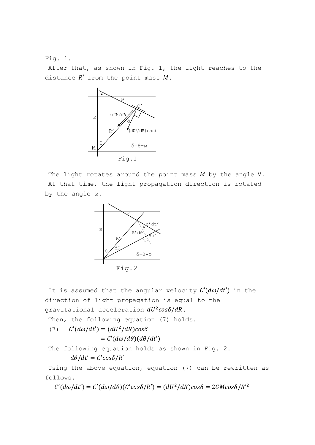#### Fig. 1.

After that, as shown in Fig. 1, the light reaches to the distance  $R'$  from the point mass  $M$ .



The light rotates around the point mass  $M$  by the angle  $\theta$ . At that time, the light propagation direction is rotated by the angle ω.



It is assumed that the angular velocity  $C'(d\omega/dt')$  in the direction of light propagation is equal to the gravitational acceleration  $dU^2cos\delta/dR$ .

Then, the following equation (7) holds.

(7)  $C'(d\omega/dt') = (dU^2/dR)cos\delta$  $= C'(d\omega/d\theta)(d\theta/dt')$ 

The following equation holds as shown in Fig. 2.

$$
d\theta/dt' = C'cos\delta/R'
$$

Using the above equation, equation (7) can be rewritten as follows.

 $C'(d\omega/dt') = C'(d\omega/d\theta)(C'cos\delta/R') = (dU^2/dR)cos\delta = 2GMcos\delta/R'^2$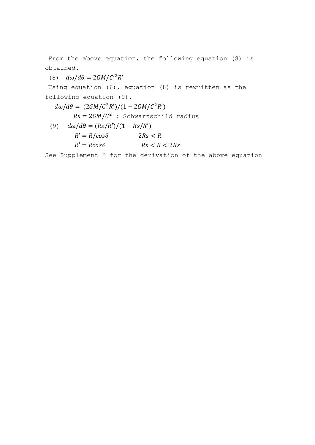From the above equation, the following equation (8) is obtained.

(8)  $d\omega/d\theta = 2GM/C'^2R'$ 

Using equation (6), equation (8) is rewritten as the following equation (9).

 $d\omega/d\theta = (2GM/C^2R')/(1-2GM/C^2R')$ 

 $Rs = 2GM/C^2$  : Schwarzschild radius

(9)  $d\omega/d\theta = (Rs/R')/(1 - Rs/R')$ 

$$
R' = R/cos\delta
$$
  
 
$$
R' = Rcos\delta
$$
  
 
$$
Rs < R < 2Rs
$$

See Supplement 2 for the derivation of the above equation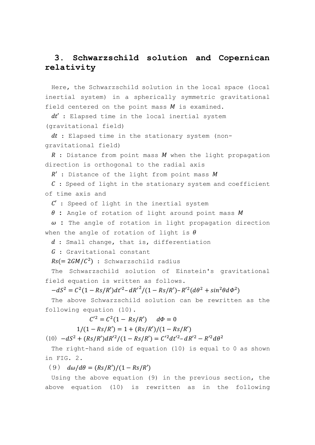# **3. Schwarzschild solution and Copernican relativity**

Here, the Schwarzschild solution in the local space (local inertial system) in a spherically symmetric gravitational field centered on the point mass  $M$  is examined.

 $dt'$ : Elapsed time in the local inertial system (gravitational field)

 $dt$  : Elapsed time in the stationary system (nongravitational field)

 $R$ : Distance from point mass  $M$  when the light propagation direction is orthogonal to the radial axis

 $R'$ : Distance of the light from point mass  $M$ 

 $C$ : Speed of light in the stationary system and coefficient of time axis and

 $C'$ : Speed of light in the inertial system

 $\theta$  : Angle of rotation of light around point mass  $M$ 

 $\omega$  : The angle of rotation in light propagation direction when the angle of rotation of light is  $\theta$ 

d : Small change, that is, differentiation

: Gravitational constant

 $\textit{Rs}(=2\textit{GM}/\textit{C}^2)$  : Schwarzschild radius

The Schwarzschild solution of Einstein's gravitational field equation is written as follows.

$$
-dS^{2} = C^{2}(1 - Rs/R')dt'^{2} - dR'^{2}/(1 - Rs/R') - R'^{2}(d\theta^{2} + sin^{2}\theta d\phi^{2})
$$

The above Schwarzschild solution can be rewritten as the following equation (10).

 $C'^2 = C^2(1 - Rs/R')$   $d\Phi = 0$ 

 $1/(1 - Rs/R') = 1 + (Rs/R')/(1 - Rs/R')$ 

(10)  $-dS^2 + (Rs/R')dR'^2/(1 - Rs/R') = C'^2dt'^2 - dR'^2 - R'^2d\theta^2$ 

The right-hand side of equation (10) is equal to 0 as shown in FIG. 2.

(9)  $d\omega/d\theta = (Rs/R')/(1 - Rs/R')$ 

Using the above equation (9) in the previous section, the above equation (10) is rewritten as in the following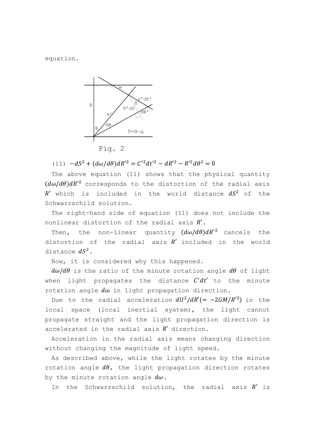equation.



(11)  $-dS^2 + (d\omega/d\theta)dR'^2 = C'^2dt'^2 - dR'^2 - R'^2d\theta^2 = 0$ j.  $\omega$ 

The above equation (11) shows that the physical quantity  $(d\omega/d\theta)dR'^2$  corresponds to the distortion of the radial axis  $R'$  which is included in the world distance  $dS^2$  of the Schwarzschild solution.

The right-hand side of equation (11) does not include the nonlinear distortion of the radial axis  $R'$ .

Then, the non-linear quantity  $(d\omega/d\theta)dR'^2$  cancels the distortion of the radial axis  $R'$  included in the world distance  $dS^2$ .

Now, it is considered why this happened.

 $d\omega/d\theta$  is the ratio of the minute rotation angle  $d\theta$  of light when light propagates the distance  $C'dt'$  to the minute rotation angle  $d\omega$  in light propagation direction.

Due to the radial acceleration  $dU^2/dR' (= -2GM/R'^2)$  in the local space (local inertial system), the light cannot propagate straight and the light propagation direction is accelerated in the radial axis  $R'$  direction.

Acceleration in the radial axis means changing direction without changing the magnitude of light speed.

As described above, while the light rotates by the minute rotation angle  $d\theta$ , the light propagation direction rotates by the minute rotation angle  $d\omega$ .

In the Schwarzschild solution, the radial axis  $R'$  is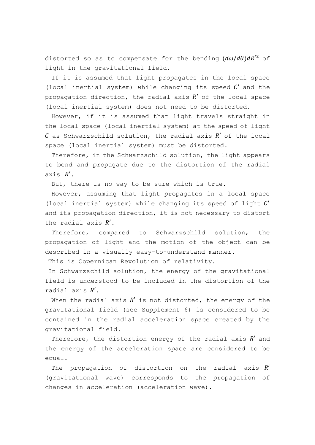distorted so as to compensate for the bending  $(d\omega/d\theta)dR'^2$  of light in the gravitational field.

If it is assumed that light propagates in the local space (local inertial system) while changing its speed  $C'$  and the propagation direction, the radial axis  $R'$  of the local space (local inertial system) does not need to be distorted.

However, if it is assumed that light travels straight in the local space (local inertial system) at the speed of light  $C$  as Schwarzschild solution, the radial axis  $R'$  of the local space (local inertial system) must be distorted.

Therefore, in the Schwarzschild solution, the light appears to bend and propagate due to the distortion of the radial axis  $R'$ .

But, there is no way to be sure which is true.

However, assuming that light propagates in a local space (local inertial system) while changing its speed of light  $C'$ and its propagation direction, it is not necessary to distort the radial axis  $R'$ .

Therefore, compared to Schwarzschild solution, the propagation of light and the motion of the object can be described in a visually easy-to-understand manner.

This is Copernican Revolution of relativity.

In Schwarzschild solution, the energy of the gravitational field is understood to be included in the distortion of the radial axis  $R'$ .

When the radial axis  $R'$  is not distorted, the energy of the gravitational field (see Supplement 6) is considered to be contained in the radial acceleration space created by the gravitational field.

Therefore, the distortion energy of the radial axis  $R'$  and the energy of the acceleration space are considered to be equal.

The propagation of distortion on the radial axis  $R'$ (gravitational wave) corresponds to the propagation of changes in acceleration (acceleration wave).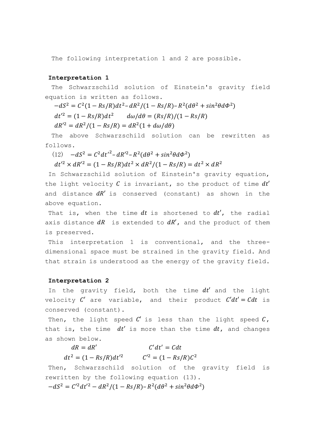The following interpretation 1 and 2 are possible.

#### **Interpretation 1**

The Schwarzschild solution of Einstein's gravity field equation is written as follows.

 $-dS^2 = C^2(1 - Rs/R)dt^2 - dR^2/(1 - Rs/R) - R^2(d\theta^2 + sin^2\theta d\phi^2)$  $dt'^2 = (1 - Rs/R)dt$  $d\omega/d\theta = (Rs/R)/(1 - Rs/R)$ 

 $dR'^2 = dR^2/(1 - Rs/R) = dR^2(1 + d\omega/d\theta)$ 

The above Schwarzschild solution can be rewritten as follows.

(12) 
$$
-dS^2 = C^2 dt'^2 - dR'^2 - R^2 (d\theta^2 + \sin^2 \theta d\phi^2)
$$

$$
dt'^2 \times dR'^2 = (1 - Rs/R) dt^2 \times dR^2 / (1 - Rs/R) = dt^2 \times dR^2
$$

In Schwarzschild solution of Einstein's gravity equation, the light velocity  $C$  is invariant, so the product of time  $dt'$ and distance  $dR'$  is conserved (constant) as shown in the above equation.

That is, when the time  $dt$  is shortened to  $dt'$ , the radial axis distance  $dR$  is extended to  $dR'$ , and the product of them is preserved.

This interpretation 1 is conventional, and the threedimensional space must be strained in the gravity field. And that strain is understood as the energy of the gravity field.

#### **Interpretation 2**

In the gravity field, both the time  $dt'$  and the light velocity  $C'$  are variable, and their product  $C'dt' = Cdt$  is conserved (constant).

Then, the light speed  $C'$  is less than the light speed  $C$ , that is, the time  $dt'$  is more than the time  $dt$ , and changes as shown below.

 $dR = dR'$  $'dt' = Cdt$  $dt^2 = (1 - Rs/R)dt'^2$   $C'^2 = (1 - Rs/R)C^2$ 

Then, Schwarzschild solution of the gravity field is rewritten by the following equation (13).

 $-dS^2 = C'^2 dt'^2 - dR^2/(1 - Rs/R) - R^2(d\theta^2 + sin^2\theta d\phi^2)$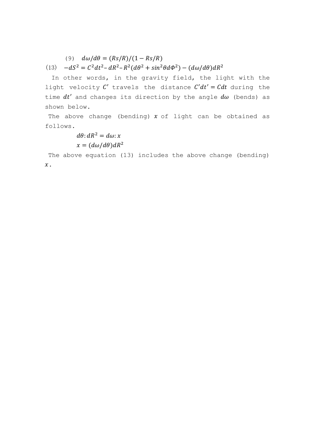(9)  $d\omega/d\theta = (Rs/R)/(1 - Rs/R)$ 

(13)  $-dS^2 = C^2 dt^2 - dR^2 - R^2(d\theta^2 + sin^2\theta d\phi^2) - (d\omega/d\theta)dR^2$ 

 In other words, in the gravity field, the light with the light velocity  $C'$  travels the distance  $C'dt' = Cdt$  during the time  $dt'$  and changes its direction by the angle  $d\omega$  (bends) as shown below.

The above change (bending)  $x$  of light can be obtained as follows.

 $d\theta$ :  $dR^2 = d\omega$ : x  $x = (d\omega/d\theta) dR^2$ 

The above equation (13) includes the above change (bending)  $\mathcal{X}$ .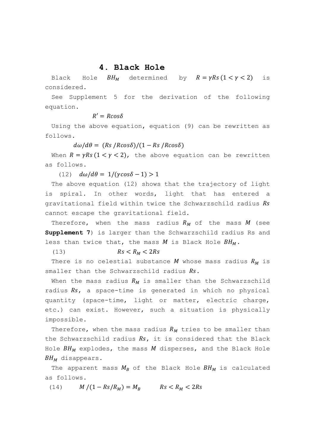#### **4. Black Hole**

Black Hole  $BH_M$  determined by  $R = \gamma Rs (1 < \gamma < 2)$  is considered.

See Supplement 5 for the derivation of the following equation.

 $R' = R \cos \delta$ 

Using the above equation, equation (9) can be rewritten as follows.

 $d\omega/d\theta = (Rs/Rcos\delta)/(1 - Rs/Rcos\delta)$ 

When  $R = \gamma Rs (1 < \gamma < 2)$ , the above equation can be rewritten as follows.

(12)  $d\omega/d\theta = 1/(\gamma cos \delta - 1) > 1$ 

The above equation (12) shows that the trajectory of light is spiral. In other words, light that has entered a gravitational field within twice the Schwarzschild radius Rs cannot escape the gravitational field.

Therefore, when the mass radius  $R_M$  of the mass  $M$  (see **Supplement 7**) is larger than the Schwarzschild radius Rs and less than twice that, the mass  $M$  is Black Hole  $BH_M$ .

(13)  $Rs < R_M < 2Rs$ 

There is no celestial substance M whose mass radius  $R_M$  is smaller than the Schwarzschild radius  $Rs.$ 

When the mass radius  $R_M$  is smaller than the Schwarzschild radius  $Rs$ , a space-time is generated in which no physical quantity (space-time, light or matter, electric charge, etc.) can exist. However, such a situation is physically impossible.

Therefore, when the mass radius  $R_M$  tries to be smaller than the Schwarzschild radius  $Rs$ , it is considered that the Black Hole  $BH_M$  explodes, the mass  $M$  disperses, and the Black Hole  $BH_M$  disappears.

The apparent mass  $M_R$  of the Black Hole  $BH_M$  is calculated as follows.

(14)  $M/(1 - Rs/R_M) = M_B$   $Rs < R_M < 2Rs$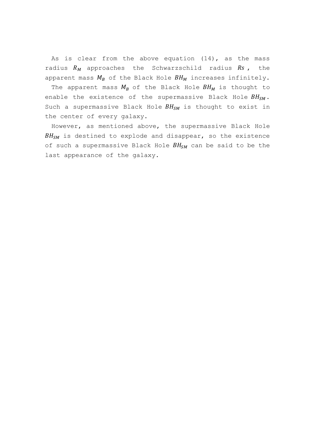As is clear from the above equation (14), as the mass radius  $R_M$  approaches the Schwarzschild radius  $Rs$ , the apparent mass  $M_B$  of the Black Hole  $BH_M$  increases infinitely.

The apparent mass  $M_B$  of the Black Hole  $BH_M$  is thought to enable the existence of the supermassive Black Hole  $BH_{SM}$ . Such a supermassive Black Hole  $BH_{SM}$  is thought to exist in the center of every galaxy.

However, as mentioned above, the supermassive Black Hole  $BH_{SM}$  is destined to explode and disappear, so the existence of such a supermassive Black Hole  $BH_{SM}$  can be said to be the last appearance of the galaxy.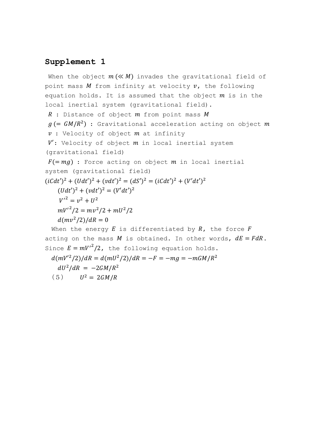When the object  $m (\ll M)$  invades the gravitational field of point mass  $M$  from infinity at velocity  $v$ , the following equation holds. It is assumed that the object  $m$  is in the local inertial system (gravitational field).  $R$  : Distance of object  $m$  from point mass  $M$  $g$  (=  $GM/R^2$ ) : Gravitational acceleration acting on object  $m$  $v$  : Velocity of object  $m$  at infinity  $V'$ : Velocity of object  $m$  in local inertial system (gravitational field)  $F(= mg)$ : Force acting on object m in local inertial system (gravitational field)  $(iCdt')^2 + (Udt')^2 + (vdt')^2 = (dS')^2 = (iCdt')^2 + (V'dt')^2$  $(Udt')^2 + (vdt')^2 = (V'dt')^2$  $V'^2 = v^2 + U^2$  $mv'^2/2 = mv^2/2 + mU^2/2$  $d(mv^2/2)/dR = 0$ When the energy  $E$  is differentiated by  $R$ , the force  $F$ acting on the mass M is obtained. In other words,  $dE = F dR$ . Since  $E = m{V'}^2/2$ , the following equation holds.  $d(mV^2/2)/dR = d(mU^2/2)/dR = -F = -mg = -mGM/R^2$  $dU^2/dR = -2GM/R^2$ (5)  $U^2 = 2GM/R$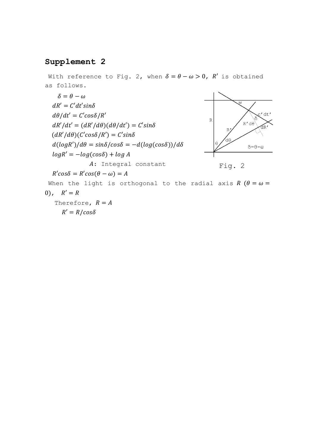With reference to Fig. 2, when  $\delta = \theta - \omega > 0$ ,  $R'$  is obtained as follows.

$$
\delta = \theta - \omega
$$
\n
$$
dR' = C'dt'sin\delta
$$
\n
$$
d\theta/dt' = C'cos\delta/R'
$$
\n
$$
dR'/dt' = (dR'/d\theta)(d\theta/dt') = C'sin\delta
$$
\n
$$
(dR'/d\theta)(C'cos\delta/R') = C'sin\delta
$$
\n
$$
d(logR')/d\theta = sin\delta/cos\delta = -d(log(cos\delta))/d\delta
$$
\n
$$
logR' = -log(cos\delta) + log A
$$
\n
$$
A: Integral constant
$$
\n
$$
R'cos\delta = R'cos(\theta - \omega) = A
$$
\nWhen the light is orthogonal to the radial axis  $R$  ( $\theta = \omega = 0$ ),  $R' = R$   
\nTherefore,  $R = A$ 

 $R' = R/cos\delta$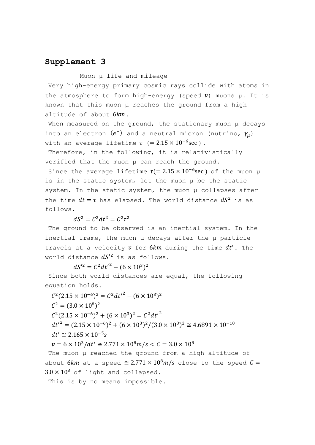Muon μ life and mileage

Very high-energy primary cosmic rays collide with atoms in the atmosphere to form high-energy (speed  $v$ ) muons  $\mu$ . It is known that this muon μ reaches the ground from a high altitude of about  $6km$ .

When measured on the ground, the stationary muon μ decays into an electron  $(e^-)$  and a neutral micron (nutrino,  $\gamma_\mu$ ) with an average lifetime  $\tau$  (=  $2.15 \times 10^{-6}$ sec).

Therefore, in the following, it is relativistically verified that the muon μ can reach the ground.

Since the average lifetime  $\tau (= 2.15 \times 10^{-6} \text{sec})$  of the muon µ is in the static system, let the muon μ be the static system. In the static system, the muon μ collapses after the time  $dt = \tau$  has elapsed. The world distance  $dS^2$  is as follows.

$$
dS^2 = C^2 dt^2 = C^2 \tau^2
$$

The ground to be observed is an inertial system. In the inertial frame, the muon μ decays after the μ particle travels at a velocity  $v$  for  $6km$  during the time  $dt'$ . The world distance  $dS^2$  is as follows.

 $dS'^2 = C^2 dt'^2 - (6 \times 10^3)^2$ 

Since both world distances are equal, the following equation holds.

 $C^2(2.15 \times 10^{-6})^2 = C^2 dt'^2 - (6 \times 10^3)^2$  $C^2 = (3.0 \times 10^8)^2$  $C^2(2.15 \times 10^{-6})^2 + (6 \times 10^3)^2 = C^2 dt'^2$  $dt'^2 = (2.15 \times 10^{-6})^2 + (6 \times 10^3)^2 / (3.0 \times 10^8)^2 \approx 4.6891 \times 10^{-10}$  $dt' \cong 2.165 \times 10^{-5} s$  $v = 6 \times 10^3/dt' \approx 2.771 \times 10^8 m/s < C = 3.0 \times 10^8$ The muon μ reached the ground from a high altitude of about 6km at a speed  $\cong 2.771 \times 10^8 m/s$  close to the speed  $C =$ 

 $3.0 \times 10^8$  of light and collapsed.

This is by no means impossible.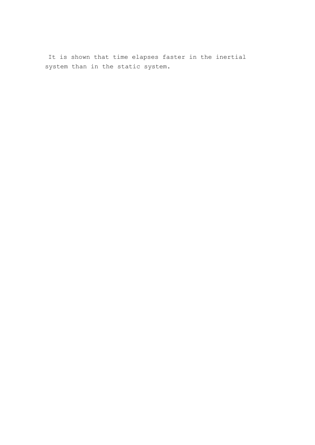It is shown that time elapses faster in the inertial system than in the static system.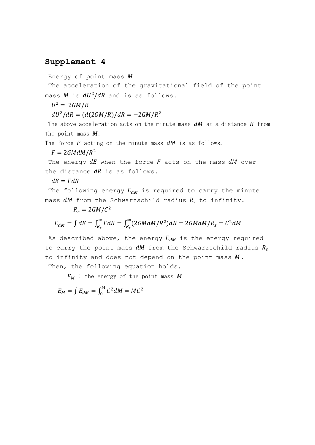Energy of point mass  $M$ 

The acceleration of the gravitational field of the point mass  $M$  is  $dU^2/dR$  and is as follows.

 $U^2 = 2GM/R$ 

 $dU^2/dR = (d(2GM/R)/dR = -2GM/R^2)$ 

The above acceleration acts on the minute mass  $dM$  at a distance  $R$  from the point mass  $M$ .

The force  $F$  acting on the minute mass  $dM$  is as follows.

 $F = 2GMdM/R^2$ 

The energy  $dE$  when the force  $F$  acts on the mass  $dM$  over the distance  $dR$  is as follows.

 $dE = FdR$ 

The following energy  $E_{dM}$  is required to carry the minute mass  $dM$  from the Schwarzschild radius  $R_s$  to infinity.

### $R_s = 2GM/C^2$

$$
E_{dM} = \int dE = \int_{R_s}^{\infty} F dR = \int_{R_s}^{\infty} (2GMdM/R^2) dR = 2GMdM/R_s = C^2dM
$$

As described above, the energy  $E_{dM}$  is the energy required to carry the point mass  $dM$  from the Schwarzschild radius  $R_s$ to infinity and does not depend on the point mass  $M$ . Then, the following equation holds.

 $E_M$ : the energy of the point mass M

 $E_M = \int E_{dM} = \int_0^M C^2 dM = MC^2$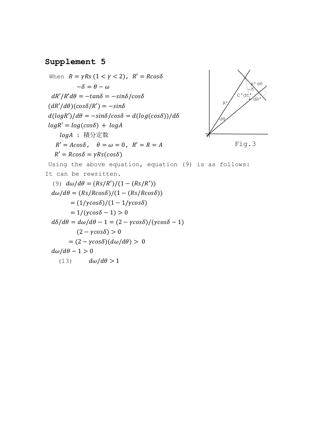```
When R = \gamma Rs (1 < \gamma < 2), R' = R \cos \delta-\delta = \theta - \omegadR'/R'd\theta = -\tan\delta = -\sin\delta/\cos\delta(dR'/d\theta)(cos\delta/R') = -sin\deltad(log R')/d\theta = -sin\delta/cos\delta = d(log(cos\delta))/d\deltalog R' = log(cos \delta) + log AlogA : 積分定数
    R' = A\cos\delta, \theta = \omega = 0, R' = R = AR' = R\cos\delta = \gamma Rs(\cos\delta)Using the above equation, equation (9) is as follows:
It can be rewritten.
   (9) d\omega/d\theta = (Rs/R')/(1 - (Rs/R'))d\omega/d\theta = (Rs/Rcos\delta)/(1 - (Rs/Rcos\delta))= (1/\gamma cos\delta)/(1 - 1/\gamma cos\delta)= 1/(\gamma cos \delta - 1) > 0d\delta/d\theta = d\omega/d\theta - 1 = (2 - \gamma cos\delta)/(\gamma cos\delta - 1)(2 - \gamma cos \delta) > 0= (2 - \gamma cos \delta)(d\omega/d\theta) > 0d\omega/d\theta - 1 > 0(13) d\omega/d\theta > 1Fig.3
```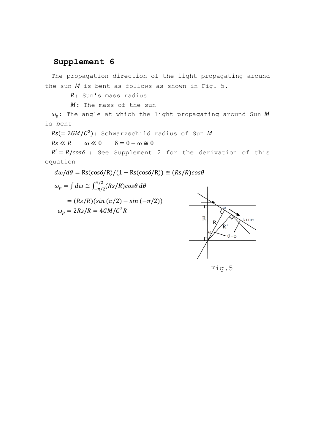The propagation direction of the light propagating around the sun  $M$  is bent as follows as shown in Fig. 5.

: Sun's mass radius

 $M:$  The mass of the sun

 $\omega_n$ : The angle at which the light propagating around Sun M is bent

 $Rs (= 2GM/C^2)$ : Schwarzschild radius of Sun M

 $Rs \ll R$   $\omega \ll \theta$   $\delta = \theta - \omega \approx \theta$ 

 $R' = R/cos\delta$  : See Supplement 2 for the derivation of this equation

 $d\omega/d\theta = \text{Rs}(\cos\delta/R)/(1 - \text{Rs}(\cos\delta/R)) \approx (Rs/R)\cos\theta$ 

 $\omega_p = \int d\omega \cong \int_{-\pi/2}^{\pi/2} (Rs/R) cos\theta$  $\int_{-\pi/2}^{\pi/2} (Rs/R) cos\theta d\theta$ 

 $= (Rs/R)( sin (\pi/2) - sin (-\pi/2))$  $\omega_p = 2Rs/R = 4GM/C^2R$ 



Fig.5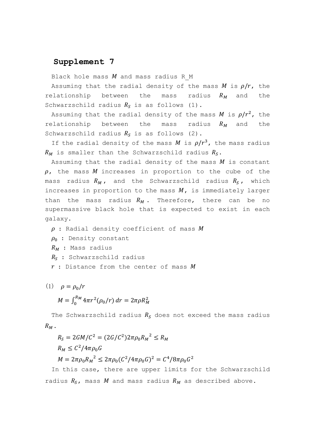Black hole mass  $M$  and mass radius R M

Assuming that the radial density of the mass M is  $\rho/r$ , the relationship between the mass radius  $R_M$  and the Schwarzschild radius  $R_s$  is as follows (1).

Assuming that the radial density of the mass  $M$  is  $\rho/r^2$ , the relationship between the mass radius  $R_M$  and the Schwarzschild radius  $R_s$  is as follows (2).

If the radial density of the mass M is  $\rho/r^3$ , the mass radius  $R_M$  is smaller than the Schwarzschild radius  $R_S$ .

Assuming that the radial density of the mass  $M$  is constant  $\rho$ , the mass M increases in proportion to the cube of the mass radius  $R_M$ , and the Schwarzschild radius  $R_S$ , which increases in proportion to the mass  $M$ , is immediately larger than the mass radius  $R_M$ . Therefore, there can be no supermassive black hole that is expected to exist in each galaxy.

 $\rho$  : Radial density coefficient of mass  $M$ 

- $\rho_0$  : Density constant
- $R_M$  : Mass radius

 $R_s$ : Schwarzschild radius

 $r$  : Distance from the center of mass  $M$ 

(1) 
$$
\rho = \rho_0/r
$$
  
\n
$$
M = \int_0^{R_M} 4\pi r^2 (\rho_0/r) dr = 2\pi \rho R_M^2
$$

The Schwarzschild radius  $R_s$  does not exceed the mass radius  $R_M$ .

 $R_S = 2GM/C^2 = (2G/C^2)2\pi\rho_0 R_M^2 \le R_M$  $R_M \leq C^2/4\pi\rho_0 G$  $M = 2\pi\rho_0 R_M^2 \leq 2\pi\rho_0 (C^2/4\pi\rho_0 G)^2 = C^4/8\pi\rho_0 G^2$ 

In this case, there are upper limits for the Schwarzschild radius  $R_S$ , mass  $M$  and mass radius  $R_M$  as described above.